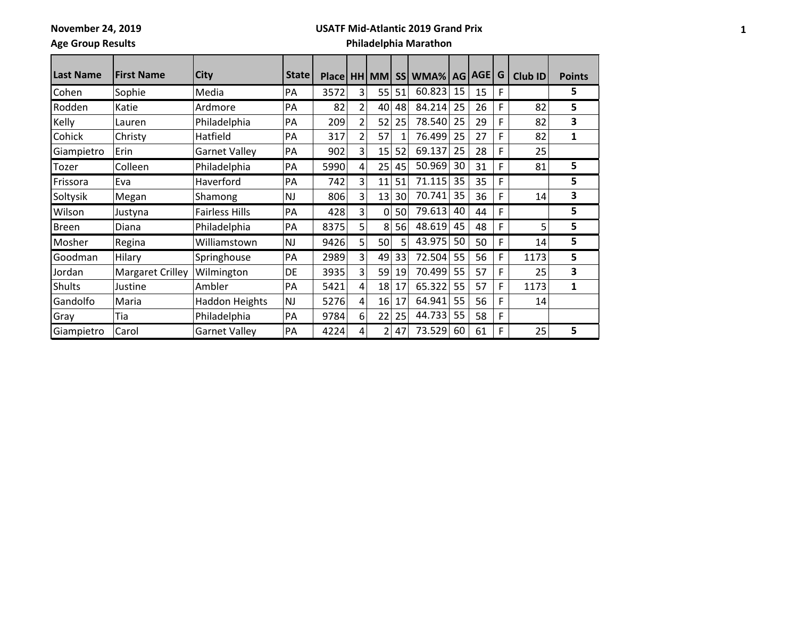**November 24, 2019**

### **USATF Mid-Atlantic 2019 Grand Prix**

**Age Group Results**

# **Philadelphia Marathon**

| <b>Last Name</b> | <b>First Name</b> | <b>City</b>           | <b>State</b> | Place HH |                | <b>MM</b> |    | SS WMA% |    | AG AGE | G | Club ID | <b>Points</b> |
|------------------|-------------------|-----------------------|--------------|----------|----------------|-----------|----|---------|----|--------|---|---------|---------------|
| Cohen            | Sophie            | Media                 | PA           | 3572     | 3              | 55        | 51 | 60.823  | 15 | 15     | F |         | 5             |
| Rodden           | Katie             | Ardmore               | PA           | 82       | $\overline{2}$ | 40        | 48 | 84.214  | 25 | 26     | F | 82      | 5             |
| Kelly            | Lauren            | Philadelphia          | PA           | 209      | 2              | 52        | 25 | 78.540  | 25 | 29     | F | 82      | 3             |
| Cohick           | Christy           | Hatfield              | PA           | 317      | $\overline{2}$ | 57        |    | 76.499  | 25 | 27     | F | 82      | 1             |
| Giampietro       | Erin              | <b>Garnet Valley</b>  | PA           | 902      | 3              | 15        | 52 | 69.137  | 25 | 28     | F | 25      |               |
| Tozer            | Colleen           | Philadelphia          | PA           | 5990     | 4              | 25        | 45 | 50.969  | 30 | 31     | F | 81      | 5             |
| Frissora         | Eva               | Haverford             | PA           | 742      | 3              | 11        | 51 | 71.115  | 35 | 35     | F |         | 5             |
| Soltysik         | Megan             | Shamong               | <b>NJ</b>    | 806      | 3              | 13        | 30 | 70.741  | 35 | 36     | F | 14      | 3             |
| Wilson           | Justyna           | <b>Fairless Hills</b> | PA           | 428      | 3              | 0         | 50 | 79.613  | 40 | 44     | F |         | 5             |
| <b>Breen</b>     | Diana             | Philadelphia          | PA           | 8375     | 5              | 8         | 56 | 48.619  | 45 | 48     | F | 5       | 5             |
| Mosher           | Regina            | Williamstown          | <b>NJ</b>    | 9426     | 5              | 50        | 5  | 43.975  | 50 | 50     | F | 14      | 5             |
| Goodman          | Hilary            | Springhouse           | PA           | 2989     | 3              | 49        | 33 | 72.504  | 55 | 56     | F | 1173    | 5             |
| Jordan           | Margaret Crilley  | Wilmington            | DE           | 3935     | 3              | 59        | 19 | 70.499  | 55 | 57     | F | 25      | 3             |
| <b>Shults</b>    | Justine           | Ambler                | PA           | 5421     | 4              | 18        | 17 | 65.322  | 55 | 57     | F | 1173    | 1             |
| Gandolfo         | Maria             | <b>Haddon Heights</b> | <b>NJ</b>    | 5276     | 4              | 16        | 17 | 64.941  | 55 | 56     | F | 14      |               |
| Gray             | Tia               | Philadelphia          | PA           | 9784     | 6              | 22        | 25 | 44.733  | 55 | 58     | F |         |               |
| Giampietro       | Carol             | <b>Garnet Valley</b>  | PA           | 4224     | 4              | 2         | 47 | 73.529  | 60 | 61     | F | 25      | 5             |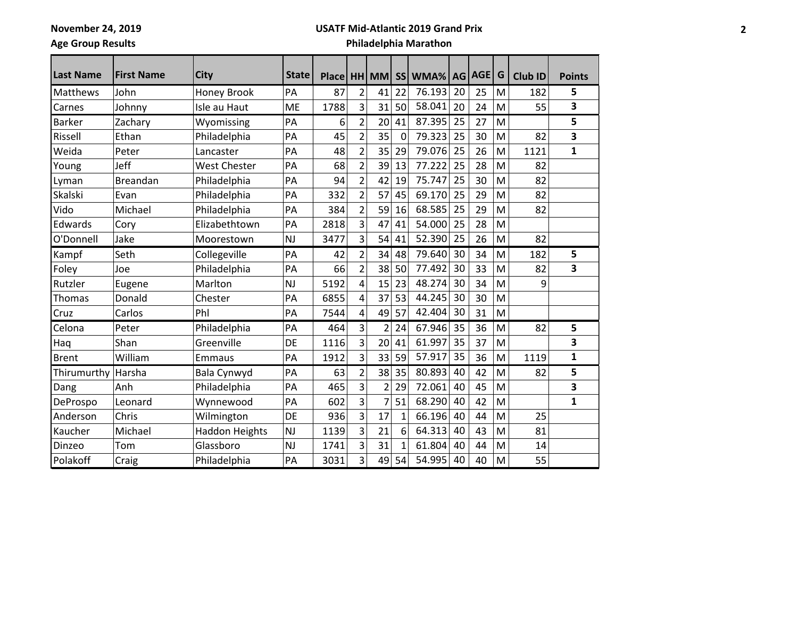**November 24, 2019**

### **USATF Mid-Atlantic 2019 Grand Prix**

**Age Group Results**

÷

# **Philadelphia Marathon**

| <b>Last Name</b> | <b>First Name</b> | <b>City</b>           | <b>State</b> |      |                |                |              | Place   HH   MM   SS   WMA%   AG   AGE |    |    | G | $Club$ ID | <b>Points</b> |
|------------------|-------------------|-----------------------|--------------|------|----------------|----------------|--------------|----------------------------------------|----|----|---|-----------|---------------|
| Matthews         | John              | Honey Brook           | PA           | 87   | $\overline{2}$ | 41             | 22           | 76.193                                 | 20 | 25 | M | 182       | 5             |
| Carnes           | Johnny            | Isle au Haut          | ME           | 1788 | 3              | 31             | 50           | 58.041                                 | 20 | 24 | M | 55        | 3             |
| <b>Barker</b>    | Zachary           | Wyomissing            | PA           | 6    | $\overline{2}$ | 20             | 41           | 87.395                                 | 25 | 27 | M |           | 5             |
| Rissell          | Ethan             | Philadelphia          | PA           | 45   | $\overline{2}$ | 35             | 0            | 79.323                                 | 25 | 30 | M | 82        | 3             |
| Weida            | Peter             | Lancaster             | PA           | 48   | $\overline{2}$ | 35             | 29           | 79.076                                 | 25 | 26 | M | 1121      | $\mathbf{1}$  |
| Young            | Jeff              | <b>West Chester</b>   | PA           | 68   | $\overline{2}$ | 39             | 13           | 77.222                                 | 25 | 28 | M | 82        |               |
| Lyman            | <b>Breandan</b>   | Philadelphia          | PA           | 94   | $\overline{2}$ | 42             | 19           | 75.747                                 | 25 | 30 | M | 82        |               |
| Skalski          | Evan              | Philadelphia          | PA           | 332  | $\overline{2}$ | 57             | 45           | 69.170                                 | 25 | 29 | M | 82        |               |
| Vido             | Michael           | Philadelphia          | PA           | 384  | $\overline{2}$ | 59             | 16           | 68.585                                 | 25 | 29 | M | 82        |               |
| Edwards          | Cory              | Elizabethtown         | PA           | 2818 | 3              | 47             | 41           | 54.000                                 | 25 | 28 | M |           |               |
| O'Donnell        | Jake              | Moorestown            | <b>NJ</b>    | 3477 | 3              | 54             | 41           | 52.390                                 | 25 | 26 | M | 82        |               |
| Kampf            | Seth              | Collegeville          | PA           | 42   | $\overline{2}$ | 34             | 48           | 79.640                                 | 30 | 34 | M | 182       | 5             |
| Foley            | Joe               | Philadelphia          | PA           | 66   | $\overline{2}$ | 38             | 50           | 77.492                                 | 30 | 33 | M | 82        | 3             |
| Rutzler          | Eugene            | Marlton               | <b>NJ</b>    | 5192 | 4              | 15             | 23           | 48.274                                 | 30 | 34 | M | 9         |               |
| Thomas           | Donald            | Chester               | PA           | 6855 | 4              | 37             | 53           | 44.245                                 | 30 | 30 | M |           |               |
| Cruz             | Carlos            | Phl                   | PA           | 7544 | 4              | 49             | 57           | 42.404                                 | 30 | 31 | M |           |               |
| Celona           | Peter             | Philadelphia          | PA           | 464  | 3              | $\overline{2}$ | 24           | 67.946                                 | 35 | 36 | M | 82        | 5             |
| Haq              | Shan              | Greenville            | DE           | 1116 | 3              | 20             | 41           | 61.997                                 | 35 | 37 | M |           | 3             |
| <b>Brent</b>     | William           | Emmaus                | PA           | 1912 | 3              | 33             | 59           | 57.917                                 | 35 | 36 | M | 1119      | 1             |
| Thirumurthy      | Harsha            | Bala Cynwyd           | PA           | 63   | $\overline{2}$ | 38             | 35           | 80.893                                 | 40 | 42 | M | 82        | 5             |
| Dang             | Anh               | Philadelphia          | PA           | 465  | 3              | $\overline{2}$ | 29           | 72.061                                 | 40 | 45 | M |           | 3             |
| DeProspo         | Leonard           | Wynnewood             | PA           | 602  | 3              |                | 51           | 68.290                                 | 40 | 42 | M |           | 1             |
| Anderson         | Chris             | Wilmington            | DE           | 936  | $\overline{3}$ | 17             | $\mathbf{1}$ | 66.196                                 | 40 | 44 | M | 25        |               |
| Kaucher          | Michael           | <b>Haddon Heights</b> | <b>NJ</b>    | 1139 | 3              | 21             | 6            | 64.313                                 | 40 | 43 | M | 81        |               |
| Dinzeo           | Tom               | Glassboro             | <b>NJ</b>    | 1741 | 3              | 31             | 1            | 61.804                                 | 40 | 44 | M | 14        |               |
| Polakoff         | Craig             | Philadelphia          | PA           | 3031 | 3              | 49             | 54           | 54.995                                 | 40 | 40 | M | 55        |               |